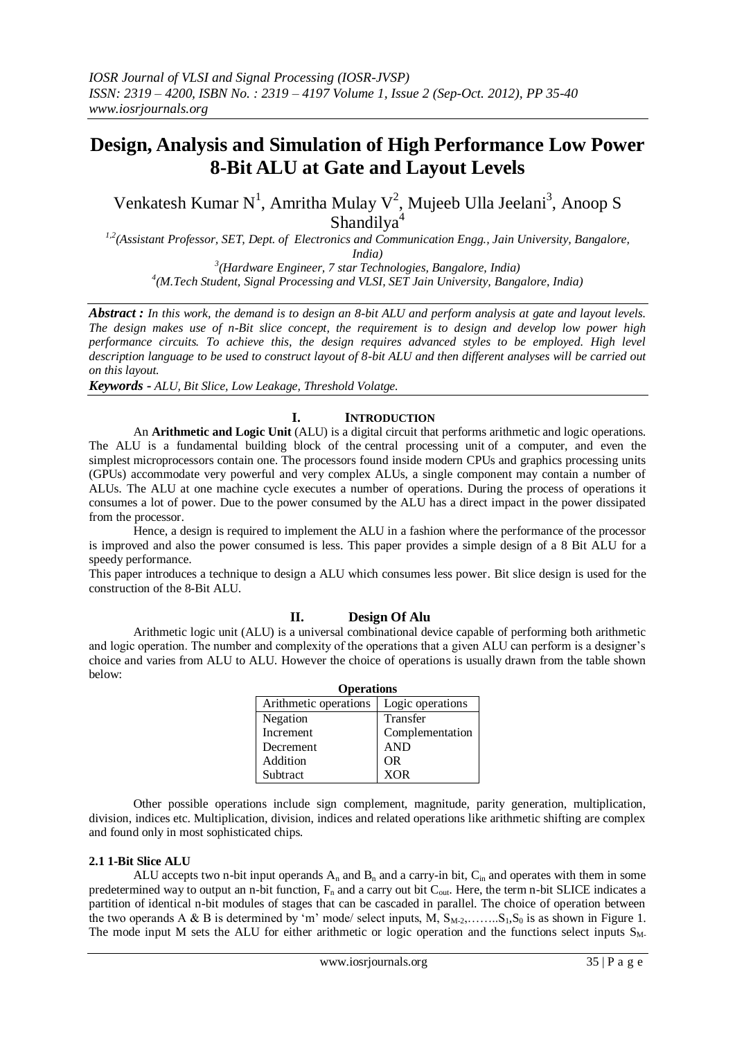# **Design, Analysis and Simulation of High Performance Low Power 8-Bit ALU at Gate and Layout Levels**

Venkatesh Kumar N<sup>1</sup>, Amritha Mulay V<sup>2</sup>, Mujeeb Ulla Jeelani<sup>3</sup>, Anoop S Shandilya<sup>4</sup>

*1,2(Assistant Professor, SET, Dept. of Electronics and Communication Engg., Jain University, Bangalore, India)*

*3 (Hardware Engineer, 7 star Technologies, Bangalore, India) 4 (M.Tech Student, Signal Processing and VLSI, SET Jain University, Bangalore, India)*

*Abstract : In this work, the demand is to design an 8-bit ALU and perform analysis at gate and layout levels. The design makes use of n-Bit slice concept, the requirement is to design and develop low power high performance circuits. To achieve this, the design requires advanced styles to be employed. High level description language to be used to construct layout of 8-bit ALU and then different analyses will be carried out on this layout.*

*Keywords - ALU, Bit Slice, Low Leakage, Threshold Volatge.*

## **I. INTRODUCTION**

An **Arithmetic and Logic Unit** (ALU) is a digital circuit that performs arithmetic and logic operations. The ALU is a fundamental building block of the central processing unit of a computer, and even the simplest [microprocessors](http://en.wikipedia.org/wiki/Microprocessor) contain one. The processors found inside modern CPUs and graphics processing units [\(GPUs\)](http://en.wikipedia.org/wiki/Graphics_processing_unit) accommodate very powerful and very complex ALUs, a single component may contain a number of ALUs. The ALU at one machine cycle executes a number of operations. During the process of operations it consumes a lot of power. Due to the power consumed by the ALU has a direct impact in the power dissipated from the processor.

Hence, a design is required to implement the ALU in a fashion where the performance of the processor is improved and also the power consumed is less. This paper provides a simple design of a 8 Bit ALU for a speedy performance.

This paper introduces a technique to design a ALU which consumes less power. Bit slice design is used for the construction of the 8-Bit ALU.

## **II. Design Of Alu**

Arithmetic logic unit (ALU) is a universal combinational device capable of performing both arithmetic and logic operation. The number and complexity of the operations that a given ALU can perform is a designer's choice and varies from ALU to ALU. However the choice of operations is usually drawn from the table shown below:

| <b>Operations</b>     |                  |  |  |  |  |  |
|-----------------------|------------------|--|--|--|--|--|
| Arithmetic operations | Logic operations |  |  |  |  |  |
| Negation              | Transfer         |  |  |  |  |  |
| Increment             | Complementation  |  |  |  |  |  |
| Decrement             | <b>AND</b>       |  |  |  |  |  |
| Addition              | OR               |  |  |  |  |  |
| Subtract              | <b>XOR</b>       |  |  |  |  |  |

Other possible operations include sign complement, magnitude, parity generation, multiplication, division, indices etc. Multiplication, division, indices and related operations like arithmetic shifting are complex and found only in most sophisticated chips.

## **2.1 1-Bit Slice ALU**

ALU accepts two n-bit input operands  $A_n$  and  $B_n$  and a carry-in bit,  $C_{in}$  and operates with them in some predetermined way to output an n-bit function, F<sub>n</sub> and a carry out bit C<sub>out</sub>. Here, the term n-bit SLICE indicates a partition of identical n-bit modules of stages that can be cascaded in parallel. The choice of operation between the two operands A & B is determined by 'm' mode/ select inputs, M,  $S_{M-2}, \ldots, S_1, S_0$  is as shown in Figure 1. The mode input M sets the ALU for either arithmetic or logic operation and the functions select inputs  $S_{M-}$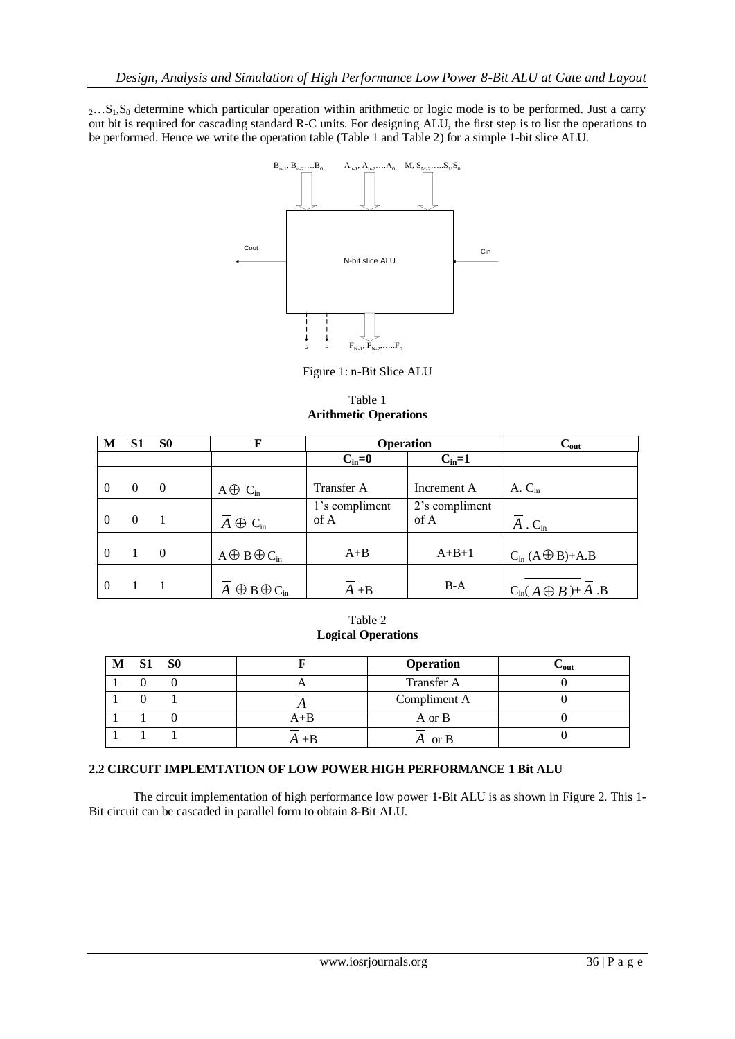2...S<sub>1</sub>,S<sub>0</sub> determine which particular operation within arithmetic or logic mode is to be performed. Just a carry out bit is required for cascading standard R-C units. For designing ALU, the first step is to list the operations to be performed. Hence we write the operation table (Table 1 and Table 2) for a simple 1-bit slice ALU.



Figure 1: n-Bit Slice ALU

Table 1 **Arithmetic Operations**

| M        | S1       | S0       | F                          | <b>Operation</b>       |                        | $\mathbf{C_{out}}$                 |
|----------|----------|----------|----------------------------|------------------------|------------------------|------------------------------------|
|          |          |          |                            | $C_{in}=0$             | $C_{in}=1$             |                                    |
| $\Omega$ | $\theta$ | $\theta$ | $A \oplus C_{in}$          | Transfer A             | Increment A            | A. C <sub>in</sub>                 |
| $\theta$ | $\Omega$ |          | $A \oplus C_{in}$          | 1's compliment<br>of A | 2's compliment<br>of A | $A \cdot C_{\text{in}}$            |
| $\Omega$ |          | $\theta$ | $A \oplus B \oplus C_{in}$ | $A + B$                | $A+B+1$                | $C_{in} (A \bigoplus B) + A.B$     |
| $\Omega$ |          |          | $A \oplus B \oplus C_{in}$ | $A + B$                | $B-A$                  | $C_{\text{in}}(A \oplus B) + A$ .B |

Table 2 **Logical Operations**

| M | S <sub>1</sub> | S <sub>0</sub> |         | <b>Operation</b> | $\mathbf{\cup_{out}}$ |
|---|----------------|----------------|---------|------------------|-----------------------|
|   |                |                | . .     | Transfer A       |                       |
|   |                |                |         | Compliment A     |                       |
|   |                |                | $A + B$ | A or B           |                       |
|   |                |                |         | or B             |                       |

## **2.2 CIRCUIT IMPLEMTATION OF LOW POWER HIGH PERFORMANCE 1 Bit ALU**

The circuit implementation of high performance low power 1-Bit ALU is as shown in Figure 2. This 1- Bit circuit can be cascaded in parallel form to obtain 8-Bit ALU.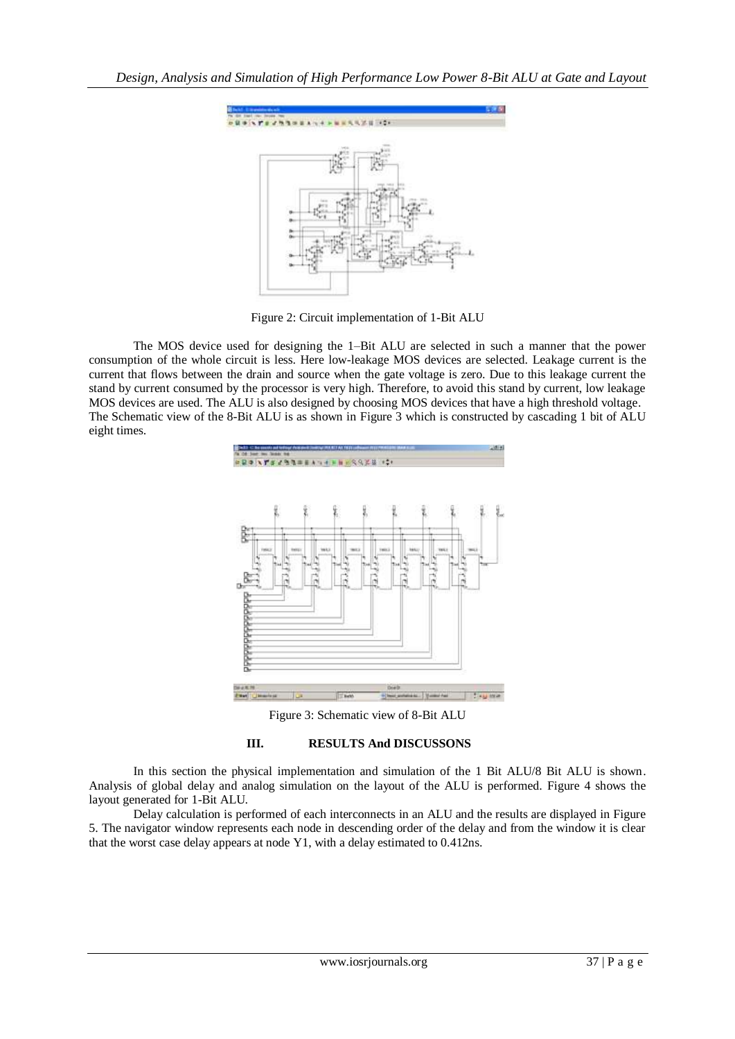

Figure 2: Circuit implementation of 1-Bit ALU

The MOS device used for designing the 1–Bit ALU are selected in such a manner that the power consumption of the whole circuit is less. Here low-leakage MOS devices are selected. Leakage current is the current that flows between the drain and source when the gate voltage is zero. Due to this leakage current the stand by current consumed by the processor is very high. Therefore, to avoid this stand by current, low leakage MOS devices are used. The ALU is also designed by choosing MOS devices that have a high threshold voltage. The Schematic view of the 8-Bit ALU is as shown in Figure 3 which is constructed by cascading 1 bit of ALU eight times.



Figure 3: Schematic view of 8-Bit ALU

## **III. RESULTS And DISCUSSONS**

In this section the physical implementation and simulation of the 1 Bit ALU/8 Bit ALU is shown. Analysis of global delay and analog simulation on the layout of the ALU is performed. Figure 4 shows the layout generated for 1-Bit ALU.

Delay calculation is performed of each interconnects in an ALU and the results are displayed in Figure 5. The navigator window represents each node in descending order of the delay and from the window it is clear that the worst case delay appears at node Y1, with a delay estimated to 0.412ns.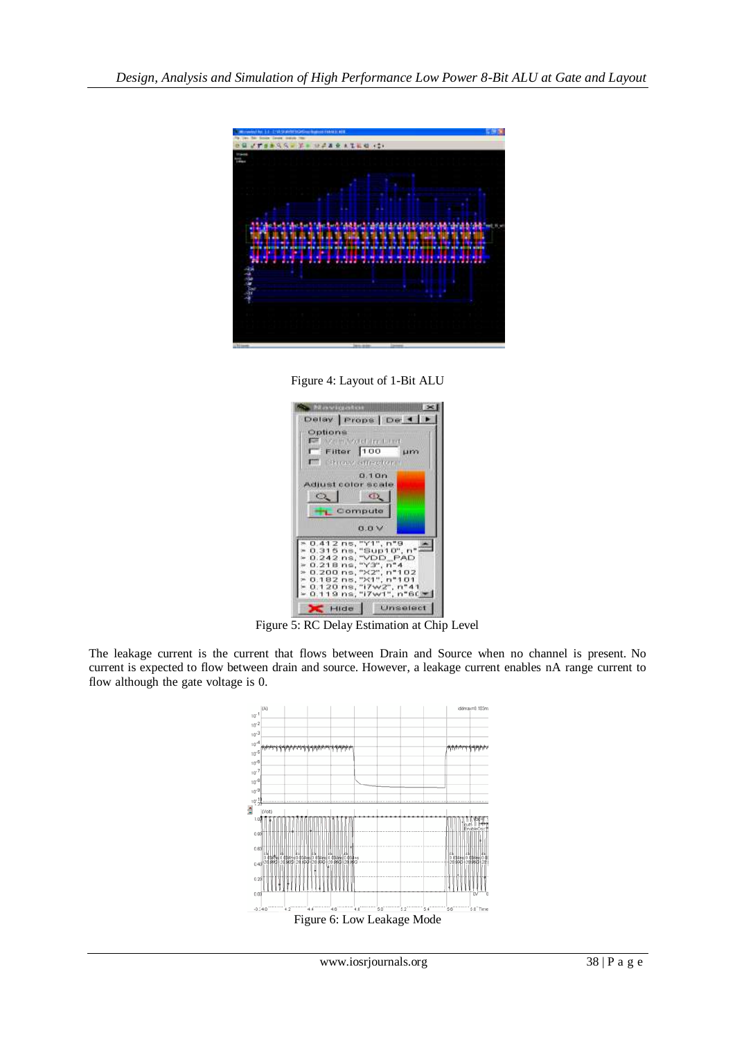

Figure 4: Layout of 1-Bit ALU



Figure 5: RC Delay Estimation at Chip Level

The leakage current is the current that flows between Drain and Source when no channel is present. No current is expected to flow between drain and source. However, a leakage current enables nA range current to flow although the gate voltage is 0.

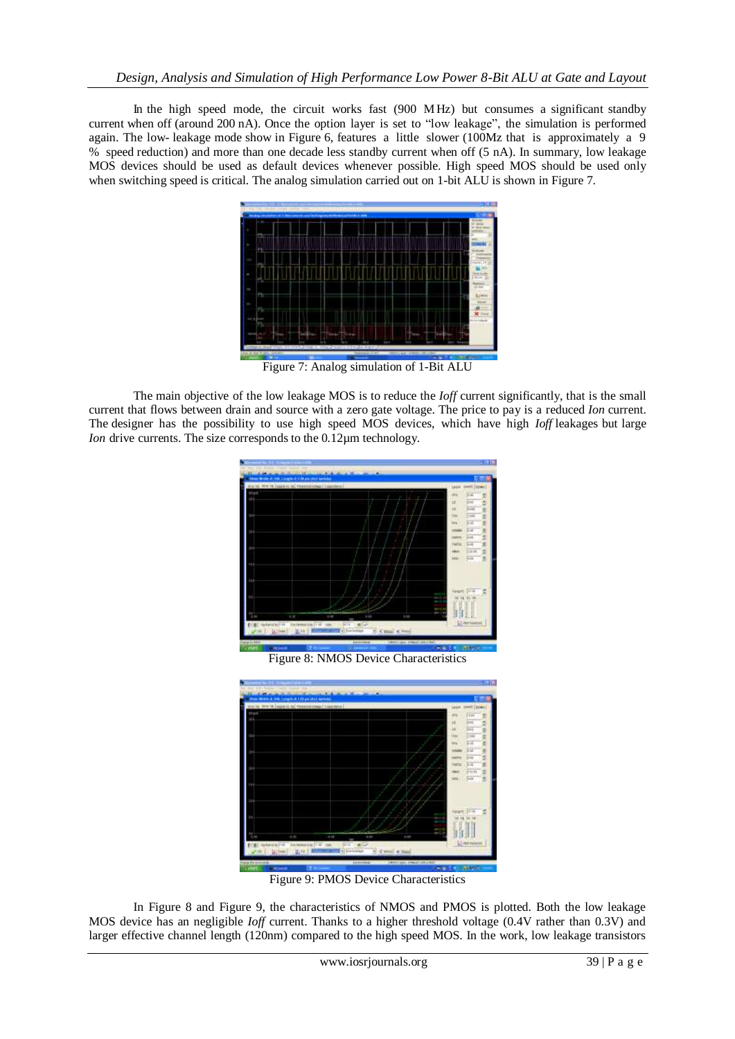In the high speed mode, the circuit works fast (900 MHz) but consumes a significant standby current when off (around 200 nA). Once the option layer is set to "low leakage", the simulation is performed again. The low- leakage mode show in Figure 6, features a little slower (100Mz that is approximately a 9 % speed reduction) and more than one decade less standby current when off (5 nA). In summary, low leakage MOS devices should be used as default devices whenever possible. High speed MOS should be used only when switching speed is critical. The analog simulation carried out on 1-bit ALU is shown in Figure 7.



Figure 7: Analog simulation of 1-Bit ALU

The main objective of the low leakage MOS is to reduce the *Ioff* current significantly, that is the small current that flows between drain and source with a zero gate voltage. The price to pay is a reduced *Ion* current. The designer has the possibility to use high speed MOS devices, which have high *Ioff* leakages but large *Ion* drive currents. The size corresponds to the 0.12µm technology.



Figure 8: NMOS Device Characteristics



Figure 9: PMOS Device Characteristics

In Figure 8 and Figure 9, the characteristics of NMOS and PMOS is plotted. Both the low leakage MOS device has an negligible *Ioff* current. Thanks to a higher threshold voltage (0.4V rather than 0.3V) and larger effective channel length (120nm) compared to the high speed MOS. In the work, low leakage transistors